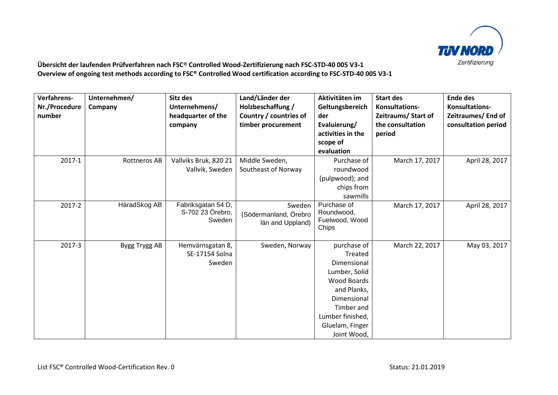

## **Übersicht der laufenden Prüfverfahren nach FSC® Controlled Wood-Zertifizierung nach FSC-STD-40 005 V3-1 Overview of ongoing test methods according to FSC® Controlled Wood certification according to FSC-STD-40 005 V3-1**

| Verfahrens-<br>Nr./Procedure<br>number | Unternehmen/<br>Company | Sitz des<br>Unternehmens/<br>headquarter of the<br>company | Land/Länder der<br>Holzbeschaffung /<br>Country / countries of<br>timber procurement | Aktivitäten im<br>Geltungsbereich<br>der<br>Evaluierung/<br>activities in the<br>scope of<br>evaluation                                                                        | <b>Start des</b><br>Konsultations-<br>Zeitraums/ Start of<br>the consultation<br>period | <b>Ende des</b><br>Konsultations-<br>Zeitraumes/End of<br>consultation period |
|----------------------------------------|-------------------------|------------------------------------------------------------|--------------------------------------------------------------------------------------|--------------------------------------------------------------------------------------------------------------------------------------------------------------------------------|-----------------------------------------------------------------------------------------|-------------------------------------------------------------------------------|
| 2017-1                                 | Rottneros AB            | Vallviks Bruk, 820 21<br>Vallvik, Sweden                   | Middle Sweden,<br>Southeast of Norway                                                | Purchase of<br>roundwood<br>(pulpwood); and<br>chips from<br>sawmills                                                                                                          | March 17, 2017                                                                          | April 28, 2017                                                                |
| 2017-2                                 | HäradSkog AB            | Fabriksgatan 54 D,<br>S-702 23 Örebro,<br>Sweden           | Sweden<br>(Södermanland, Örebro<br>län and Uppland)                                  | Purchase of<br>Roundwood,<br>Fuelwood, Wood<br>Chips                                                                                                                           | March 17, 2017                                                                          | April 28, 2017                                                                |
| 2017-3                                 | Bygg Trygg AB           | Hemvärnsgatan 8,<br>SE-17154 Solna<br>Sweden               | Sweden, Norway                                                                       | purchase of<br>Treated<br>Dimensional<br>Lumber, Solid<br><b>Wood Boards</b><br>and Planks,<br>Dimensional<br>Timber and<br>Lumber finished,<br>Gluelam, Finger<br>Joint Wood, | March 22, 2017                                                                          | May 03, 2017                                                                  |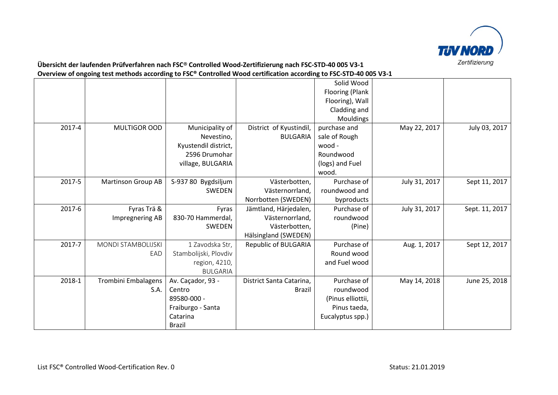

## **Übersicht der laufenden Prüfverfahren nach FSC® Controlled Wood-Zertifizierung nach FSC-STD-40 005 V3-1 Overview of ongoing test methods according to FSC® Controlled Wood certification according to FSC-STD-40 005 V3-1**

|        |                            |                       |                          | Solid Wood<br>Flooring (Plank<br>Flooring), Wall |               |                |
|--------|----------------------------|-----------------------|--------------------------|--------------------------------------------------|---------------|----------------|
|        |                            |                       |                          | Cladding and                                     |               |                |
|        |                            |                       |                          | Mouldings                                        |               |                |
| 2017-4 | MULTIGOR OOD               | Municipality of       | District of Kyustindil,  | purchase and                                     | May 22, 2017  | July 03, 2017  |
|        |                            | Nevestino,            | <b>BULGARIA</b>          | sale of Rough                                    |               |                |
|        |                            | Kyustendil district,  |                          | wood -                                           |               |                |
|        |                            | 2596 Drumohar         |                          | Roundwood                                        |               |                |
|        |                            | village, BULGARIA     |                          | (logs) and Fuel                                  |               |                |
|        |                            |                       |                          | wood.                                            |               |                |
| 2017-5 | <b>Martinson Group AB</b>  | S-937 80 Bygdsiljum   | Västerbotten,            | Purchase of                                      | July 31, 2017 | Sept 11, 2017  |
|        |                            | SWEDEN                | Västernorrland,          | roundwood and                                    |               |                |
|        |                            |                       | Norrbotten (SWEDEN)      | byproducts                                       |               |                |
| 2017-6 | Fyras Trä &                | Fyras                 | Jämtland, Härjedalen,    | Purchase of                                      | July 31, 2017 | Sept. 11, 2017 |
|        | Impregnering AB            | 830-70 Hammerdal,     | Västernorrland,          | roundwood                                        |               |                |
|        |                            | SWEDEN                | Västerbotten,            | (Pine)                                           |               |                |
|        |                            |                       | Hälsingland (SWEDEN)     |                                                  |               |                |
| 2017-7 | <b>MONDI STAMBOLIJSKI</b>  | 1 Zavodska Str,       | Republic of BULGARIA     | Purchase of                                      | Aug. 1, 2017  | Sept 12, 2017  |
|        | EAD                        | Stambolijski, Plovdiv |                          | Round wood                                       |               |                |
|        |                            | region, 4210,         |                          | and Fuel wood                                    |               |                |
|        |                            | <b>BULGARIA</b>       |                          |                                                  |               |                |
| 2018-1 | <b>Trombini Embalagens</b> | Av. Caçador, 93 -     | District Santa Catarina, | Purchase of                                      | May 14, 2018  | June 25, 2018  |
|        | S.A.                       | Centro                | <b>Brazil</b>            | roundwood                                        |               |                |
|        |                            | 89580-000 -           |                          | (Pinus elliottii,                                |               |                |
|        |                            | Fraiburgo - Santa     |                          | Pinus taeda,                                     |               |                |
|        |                            | Catarina              |                          | Eucalyptus spp.)                                 |               |                |
|        |                            | <b>Brazil</b>         |                          |                                                  |               |                |